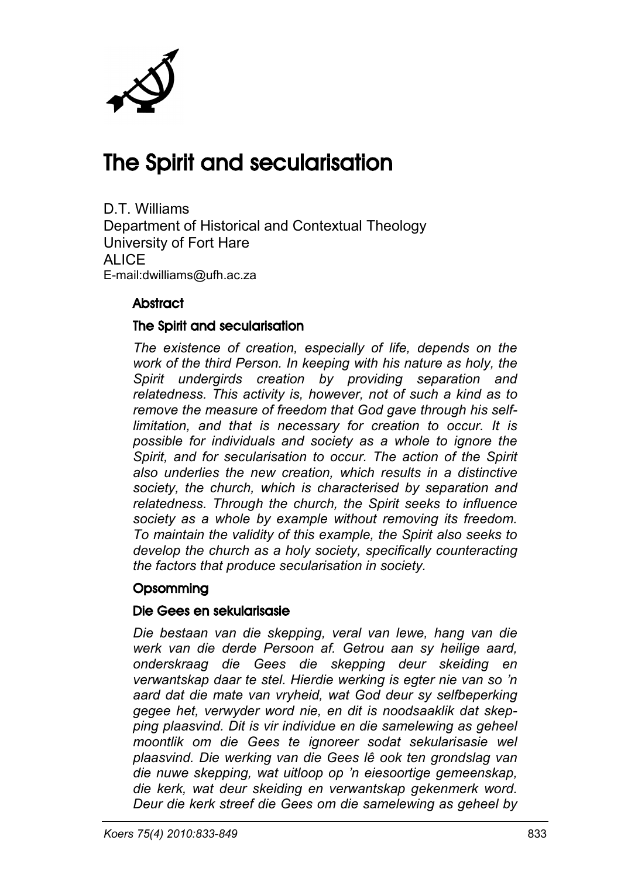

## The Spirit and secularisation

D.T. Williams Department of Historical and Contextual Theology University of Fort Hare ALIC<sub>E</sub> E-mail:dwilliams@ufh.ac.za

#### **Abstract**

#### The Spirit and secularisation

*The existence of creation, especially of life, depends on the work of the third Person. In keeping with his nature as holy, the Spirit undergirds creation by providing separation and relatedness. This activity is, however, not of such a kind as to remove the measure of freedom that God gave through his selflimitation, and that is necessary for creation to occur. It is possible for individuals and society as a whole to ignore the Spirit, and for secularisation to occur. The action of the Spirit also underlies the new creation, which results in a distinctive society, the church, which is characterised by separation and relatedness. Through the church, the Spirit seeks to influence society as a whole by example without removing its freedom. To maintain the validity of this example, the Spirit also seeks to develop the church as a holy society, specifically counteracting the factors that produce secularisation in society.*

#### **Opsomming**

#### Die Gees en sekularisasie

*Die bestaan van die skepping, veral van lewe, hang van die werk van die derde Persoon af. Getrou aan sy heilige aard, onderskraag die Gees die skepping deur skeiding en verwantskap daar te stel. Hierdie werking is egter nie van so 'n aard dat die mate van vryheid, wat God deur sy selfbeperking gegee het, verwyder word nie, en dit is noodsaaklik dat skepping plaasvind. Dit is vir individue en die samelewing as geheel moontlik om die Gees te ignoreer sodat sekularisasie wel plaasvind. Die werking van die Gees lê ook ten grondslag van die nuwe skepping, wat uitloop op 'n eiesoortige gemeenskap, die kerk, wat deur skeiding en verwantskap gekenmerk word. Deur die kerk streef die Gees om die samelewing as geheel by*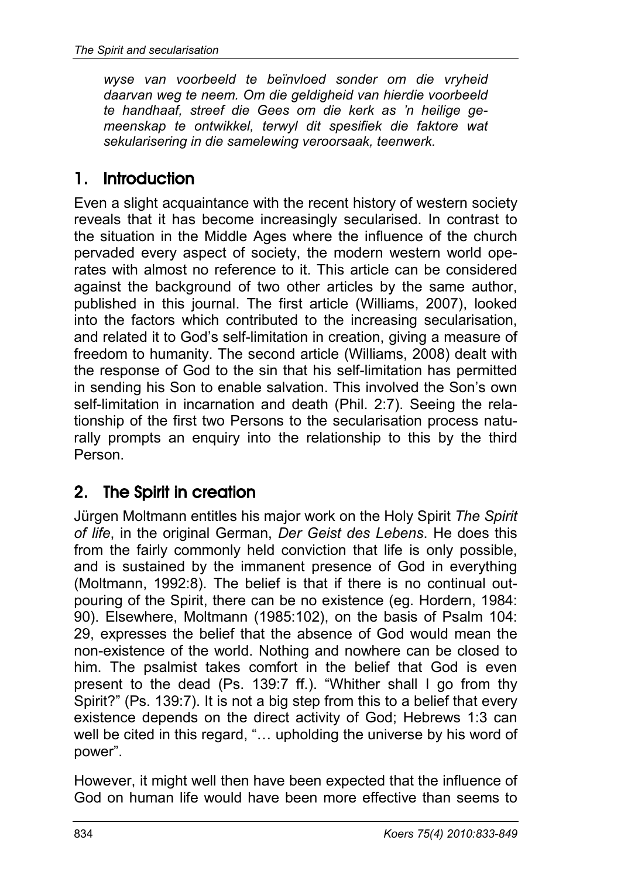*wyse van voorbeeld te beïnvloed sonder om die vryheid daarvan weg te neem. Om die geldigheid van hierdie voorbeeld te handhaaf, streef die Gees om die kerk as 'n heilige gemeenskap te ontwikkel, terwyl dit spesifiek die faktore wat sekularisering in die samelewing veroorsaak, teenwerk.*

#### 1. Introduction

Even a slight acquaintance with the recent history of western society reveals that it has become increasingly secularised. In contrast to the situation in the Middle Ages where the influence of the church pervaded every aspect of society, the modern western world operates with almost no reference to it. This article can be considered against the background of two other articles by the same author, published in this journal. The first article (Williams, 2007), looked into the factors which contributed to the increasing secularisation, and related it to God's self-limitation in creation, giving a measure of freedom to humanity. The second article (Williams, 2008) dealt with the response of God to the sin that his self-limitation has permitted in sending his Son to enable salvation. This involved the Son's own self-limitation in incarnation and death (Phil. 2:7). Seeing the relationship of the first two Persons to the secularisation process naturally prompts an enquiry into the relationship to this by the third Person.

## 2. The Spirit in creation

Jürgen Moltmann entitles his major work on the Holy Spirit *The Spirit of life*, in the original German, *Der Geist des Lebens*. He does this from the fairly commonly held conviction that life is only possible, and is sustained by the immanent presence of God in everything (Moltmann, 1992:8). The belief is that if there is no continual outpouring of the Spirit, there can be no existence (eg. Hordern, 1984: 90). Elsewhere, Moltmann (1985:102), on the basis of Psalm 104: 29, expresses the belief that the absence of God would mean the non-existence of the world. Nothing and nowhere can be closed to him. The psalmist takes comfort in the belief that God is even present to the dead (Ps. 139:7 ff.). "Whither shall I go from thy Spirit?" (Ps. 139:7). It is not a big step from this to a belief that every existence depends on the direct activity of God; Hebrews 1:3 can well be cited in this regard, "... upholding the universe by his word of power".

However, it might well then have been expected that the influence of God on human life would have been more effective than seems to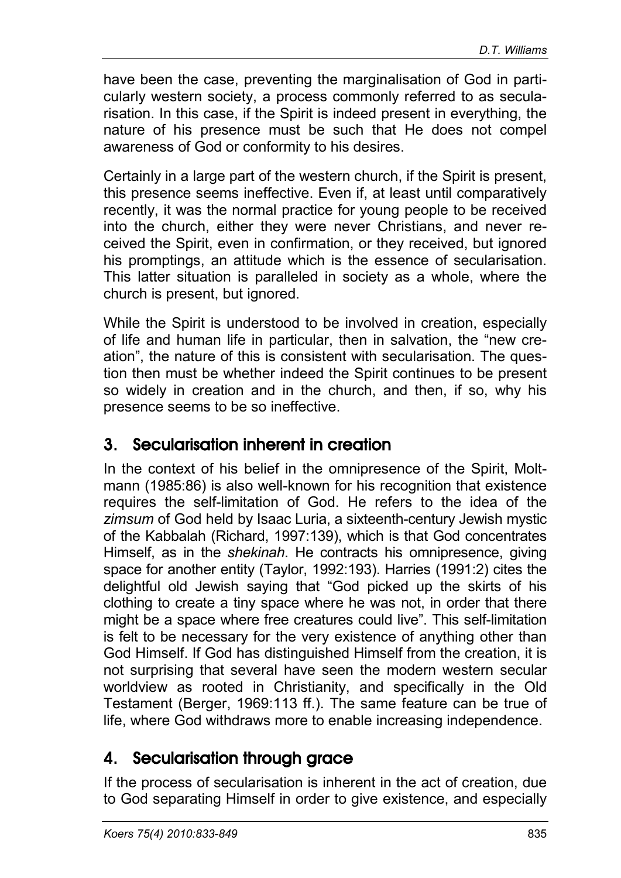have been the case, preventing the marginalisation of God in particularly western society, a process commonly referred to as secularisation. In this case, if the Spirit is indeed present in everything, the nature of his presence must be such that He does not compel awareness of God or conformity to his desires.

Certainly in a large part of the western church, if the Spirit is present, this presence seems ineffective. Even if, at least until comparatively recently, it was the normal practice for young people to be received into the church, either they were never Christians, and never received the Spirit, even in confirmation, or they received, but ignored his promptings, an attitude which is the essence of secularisation. This latter situation is paralleled in society as a whole, where the church is present, but ignored.

While the Spirit is understood to be involved in creation, especially of life and human life in particular, then in salvation, the "new creation", the nature of this is consistent with secularisation. The question then must be whether indeed the Spirit continues to be present so widely in creation and in the church, and then, if so, why his presence seems to be so ineffective.

#### 3. Secularisation inherent in creation

In the context of his belief in the omnipresence of the Spirit, Moltmann (1985:86) is also well-known for his recognition that existence requires the self-limitation of God. He refers to the idea of the *zimsum* of God held by Isaac Luria, a sixteenth-century Jewish mystic of the Kabbalah (Richard, 1997:139), which is that God concentrates Himself, as in the *shekinah*. He contracts his omnipresence, giving space for another entity (Taylor, 1992:193). Harries (1991:2) cites the delightful old Jewish saying that "God picked up the skirts of his clothing to create a tiny space where he was not, in order that there might be a space where free creatures could live". This self-limitation is felt to be necessary for the very existence of anything other than God Himself. If God has distinguished Himself from the creation, it is not surprising that several have seen the modern western secular worldview as rooted in Christianity, and specifically in the Old Testament (Berger, 1969:113 ff.). The same feature can be true of life, where God withdraws more to enable increasing independence.

#### 4. Secularisation through grace

If the process of secularisation is inherent in the act of creation, due to God separating Himself in order to give existence, and especially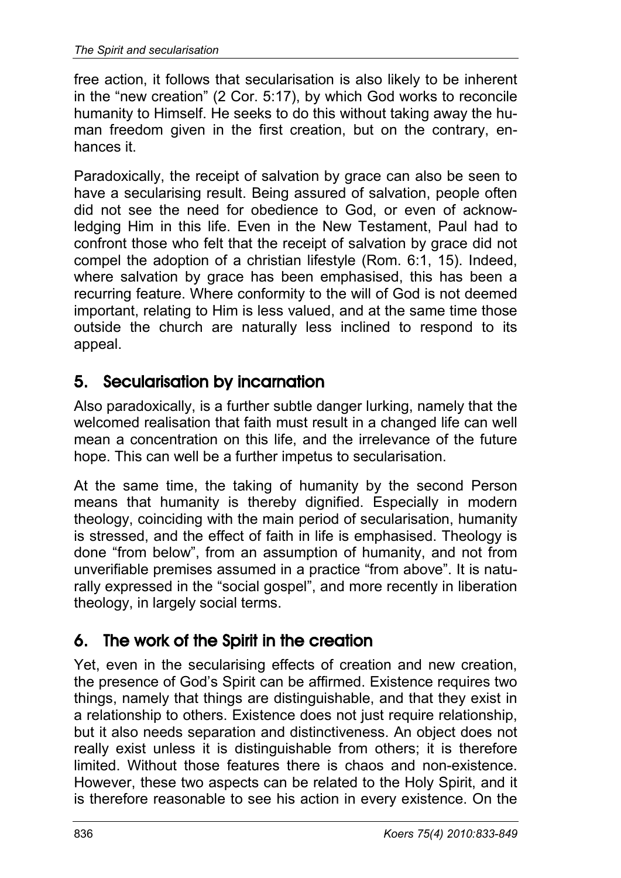free action, it follows that secularisation is also likely to be inherent in the "new creation" (2 Cor. 5:17), by which God works to reconcile humanity to Himself. He seeks to do this without taking away the human freedom given in the first creation, but on the contrary, enhances it.

Paradoxically, the receipt of salvation by grace can also be seen to have a secularising result. Being assured of salvation, people often did not see the need for obedience to God, or even of acknowledging Him in this life. Even in the New Testament, Paul had to confront those who felt that the receipt of salvation by grace did not compel the adoption of a christian lifestyle (Rom. 6:1, 15). Indeed, where salvation by grace has been emphasised, this has been a recurring feature. Where conformity to the will of God is not deemed important, relating to Him is less valued, and at the same time those outside the church are naturally less inclined to respond to its appeal.

## 5. Secularisation by incarnation

Also paradoxically, is a further subtle danger lurking, namely that the welcomed realisation that faith must result in a changed life can well mean a concentration on this life, and the irrelevance of the future hope. This can well be a further impetus to secularisation.

At the same time, the taking of humanity by the second Person means that humanity is thereby dignified. Especially in modern theology, coinciding with the main period of secularisation, humanity is stressed, and the effect of faith in life is emphasised. Theology is done "from below", from an assumption of humanity, and not from unverifiable premises assumed in a practice "from above". It is naturally expressed in the "social gospel", and more recently in liberation theology, in largely social terms.

## 6. The work of the Spirit in the creation

Yet, even in the secularising effects of creation and new creation, the presence of God's Spirit can be affirmed. Existence requires two things, namely that things are distinguishable, and that they exist in a relationship to others. Existence does not just require relationship, but it also needs separation and distinctiveness. An object does not really exist unless it is distinguishable from others; it is therefore limited. Without those features there is chaos and non-existence. However, these two aspects can be related to the Holy Spirit, and it is therefore reasonable to see his action in every existence. On the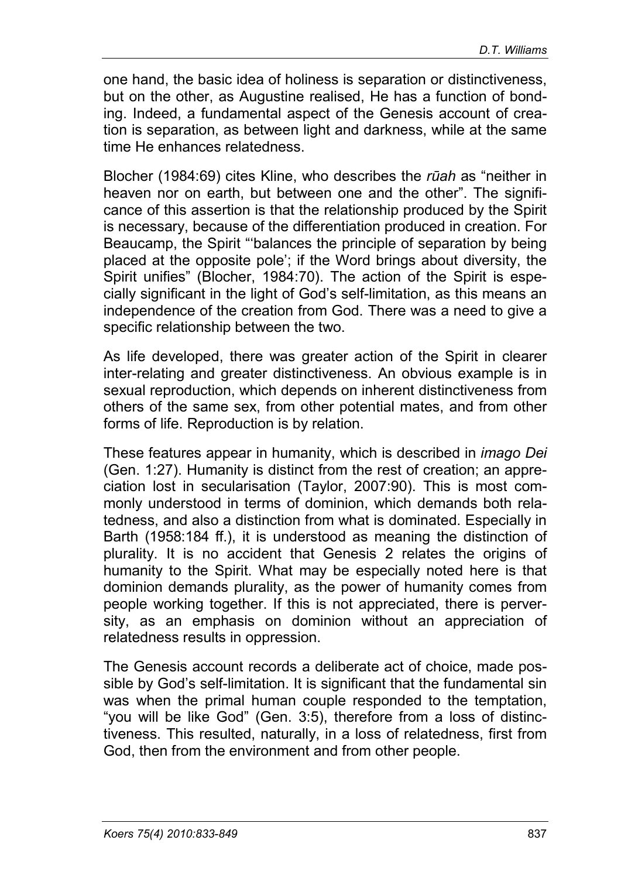one hand, the basic idea of holiness is separation or distinctiveness, but on the other, as Augustine realised, He has a function of bonding. Indeed, a fundamental aspect of the Genesis account of creation is separation, as between light and darkness, while at the same time He enhances relatedness.

Blocher (1984:69) cites Kline, who describes the *rūah* as "neither in heaven nor on earth, but between one and the other". The significance of this assertion is that the relationship produced by the Spirit is necessary, because of the differentiation produced in creation. For Beaucamp, the Spirit "'balances the principle of separation by being placed at the opposite pole'; if the Word brings about diversity, the Spirit unifies" (Blocher, 1984:70). The action of the Spirit is especially significant in the light of God's self-limitation, as this means an independence of the creation from God. There was a need to give a specific relationship between the two.

As life developed, there was greater action of the Spirit in clearer inter-relating and greater distinctiveness. An obvious example is in sexual reproduction, which depends on inherent distinctiveness from others of the same sex, from other potential mates, and from other forms of life. Reproduction is by relation.

These features appear in humanity, which is described in *imago Dei* (Gen. 1:27). Humanity is distinct from the rest of creation; an appreciation lost in secularisation (Taylor, 2007:90). This is most commonly understood in terms of dominion, which demands both relatedness, and also a distinction from what is dominated. Especially in Barth (1958:184 ff.), it is understood as meaning the distinction of plurality. It is no accident that Genesis 2 relates the origins of humanity to the Spirit. What may be especially noted here is that dominion demands plurality, as the power of humanity comes from people working together. If this is not appreciated, there is perversity, as an emphasis on dominion without an appreciation of relatedness results in oppression.

The Genesis account records a deliberate act of choice, made possible by God's self-limitation. It is significant that the fundamental sin was when the primal human couple responded to the temptation, "you will be like God" (Gen. 3:5), therefore from a loss of distinctiveness. This resulted, naturally, in a loss of relatedness, first from God, then from the environment and from other people.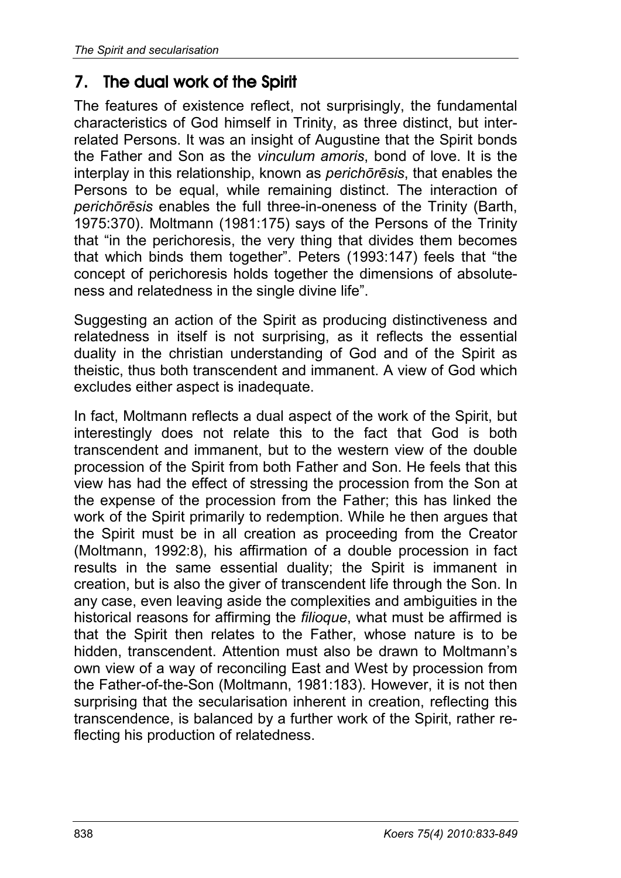### 7. The dual work of the Spirit

The features of existence reflect, not surprisingly, the fundamental characteristics of God himself in Trinity, as three distinct, but interrelated Persons. It was an insight of Augustine that the Spirit bonds the Father and Son as the *vinculum amoris*, bond of love. It is the interplay in this relationship, known as *perichōrēsis*, that enables the Persons to be equal, while remaining distinct. The interaction of *perichōrēsis* enables the full three-in-oneness of the Trinity (Barth, 1975:370). Moltmann (1981:175) says of the Persons of the Trinity that "in the perichoresis, the very thing that divides them becomes that which binds them together". Peters (1993:147) feels that "the concept of perichoresis holds together the dimensions of absoluteness and relatedness in the single divine life".

Suggesting an action of the Spirit as producing distinctiveness and relatedness in itself is not surprising, as it reflects the essential duality in the christian understanding of God and of the Spirit as theistic, thus both transcendent and immanent. A view of God which excludes either aspect is inadequate.

In fact, Moltmann reflects a dual aspect of the work of the Spirit, but interestingly does not relate this to the fact that God is both transcendent and immanent, but to the western view of the double procession of the Spirit from both Father and Son. He feels that this view has had the effect of stressing the procession from the Son at the expense of the procession from the Father; this has linked the work of the Spirit primarily to redemption. While he then argues that the Spirit must be in all creation as proceeding from the Creator (Moltmann, 1992:8), his affirmation of a double procession in fact results in the same essential duality; the Spirit is immanent in creation, but is also the giver of transcendent life through the Son. In any case, even leaving aside the complexities and ambiguities in the historical reasons for affirming the *filioque*, what must be affirmed is that the Spirit then relates to the Father, whose nature is to be hidden, transcendent. Attention must also be drawn to Moltmann's own view of a way of reconciling East and West by procession from the Father-of-the-Son (Moltmann, 1981:183). However, it is not then surprising that the secularisation inherent in creation, reflecting this transcendence, is balanced by a further work of the Spirit, rather reflecting his production of relatedness.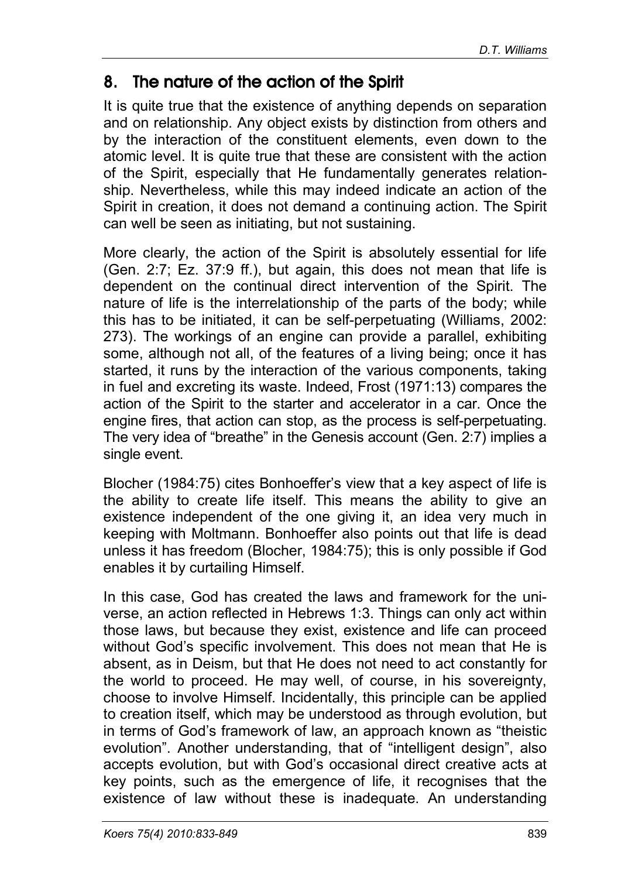#### 8. The nature of the action of the Spirit

It is quite true that the existence of anything depends on separation and on relationship. Any object exists by distinction from others and by the interaction of the constituent elements, even down to the atomic level. It is quite true that these are consistent with the action of the Spirit, especially that He fundamentally generates relationship. Nevertheless, while this may indeed indicate an action of the Spirit in creation, it does not demand a continuing action. The Spirit can well be seen as initiating, but not sustaining.

More clearly, the action of the Spirit is absolutely essential for life (Gen. 2:7; Ez. 37:9 ff.), but again, this does not mean that life is dependent on the continual direct intervention of the Spirit. The nature of life is the interrelationship of the parts of the body; while this has to be initiated, it can be self-perpetuating (Williams, 2002: 273). The workings of an engine can provide a parallel, exhibiting some, although not all, of the features of a living being; once it has started, it runs by the interaction of the various components, taking in fuel and excreting its waste. Indeed, Frost (1971:13) compares the action of the Spirit to the starter and accelerator in a car. Once the engine fires, that action can stop, as the process is self-perpetuating. The very idea of "breathe" in the Genesis account (Gen. 2:7) implies a single event.

Blocher (1984:75) cites Bonhoeffer's view that a key aspect of life is the ability to create life itself. This means the ability to give an existence independent of the one giving it, an idea very much in keeping with Moltmann. Bonhoeffer also points out that life is dead unless it has freedom (Blocher, 1984:75); this is only possible if God enables it by curtailing Himself.

In this case, God has created the laws and framework for the universe, an action reflected in Hebrews 1:3. Things can only act within those laws, but because they exist, existence and life can proceed without God's specific involvement. This does not mean that He is absent, as in Deism, but that He does not need to act constantly for the world to proceed. He may well, of course, in his sovereignty, choose to involve Himself. Incidentally, this principle can be applied to creation itself, which may be understood as through evolution, but in terms of God's framework of law, an approach known as "theistic evolution". Another understanding, that of "intelligent design", also accepts evolution, but with God's occasional direct creative acts at key points, such as the emergence of life, it recognises that the existence of law without these is inadequate. An understanding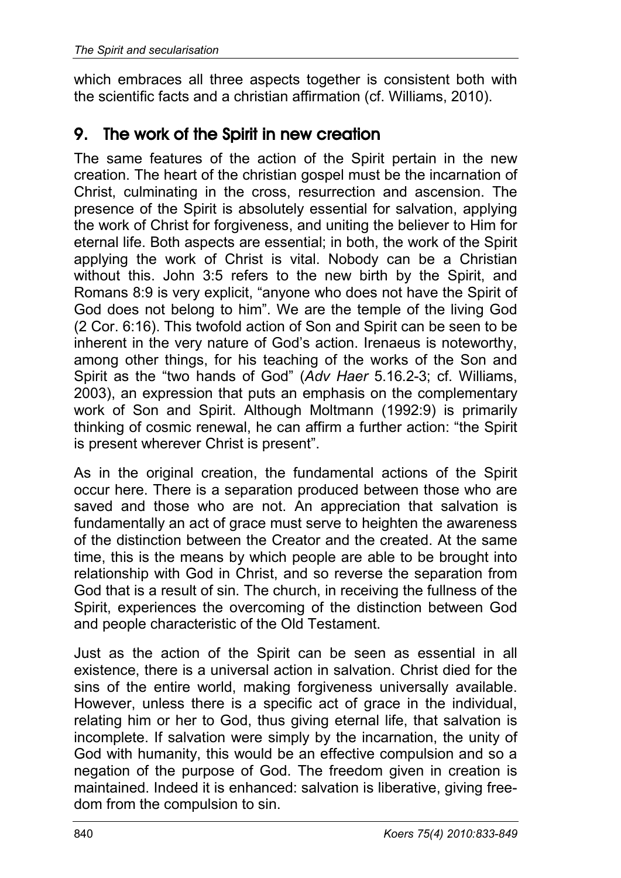which embraces all three aspects together is consistent both with the scientific facts and a christian affirmation (cf. Williams, 2010).

#### 9. The work of the Spirit in new creation

The same features of the action of the Spirit pertain in the new creation. The heart of the christian gospel must be the incarnation of Christ, culminating in the cross, resurrection and ascension. The presence of the Spirit is absolutely essential for salvation, applying the work of Christ for forgiveness, and uniting the believer to Him for eternal life. Both aspects are essential; in both, the work of the Spirit applying the work of Christ is vital. Nobody can be a Christian without this. John 3:5 refers to the new birth by the Spirit, and Romans 8:9 is very explicit, "anyone who does not have the Spirit of God does not belong to him". We are the temple of the living God (2 Cor. 6:16). This twofold action of Son and Spirit can be seen to be inherent in the very nature of God's action. Irenaeus is noteworthy, among other things, for his teaching of the works of the Son and Spirit as the "two hands of God" (*Adv Haer* 5.16.2-3; cf. Williams, 2003), an expression that puts an emphasis on the complementary work of Son and Spirit. Although Moltmann (1992:9) is primarily thinking of cosmic renewal, he can affirm a further action: "the Spirit is present wherever Christ is present".

As in the original creation, the fundamental actions of the Spirit occur here. There is a separation produced between those who are saved and those who are not. An appreciation that salvation is fundamentally an act of grace must serve to heighten the awareness of the distinction between the Creator and the created. At the same time, this is the means by which people are able to be brought into relationship with God in Christ, and so reverse the separation from God that is a result of sin. The church, in receiving the fullness of the Spirit, experiences the overcoming of the distinction between God and people characteristic of the Old Testament.

Just as the action of the Spirit can be seen as essential in all existence, there is a universal action in salvation. Christ died for the sins of the entire world, making forgiveness universally available. However, unless there is a specific act of grace in the individual, relating him or her to God, thus giving eternal life, that salvation is incomplete. If salvation were simply by the incarnation, the unity of God with humanity, this would be an effective compulsion and so a negation of the purpose of God. The freedom given in creation is maintained. Indeed it is enhanced: salvation is liberative, giving freedom from the compulsion to sin.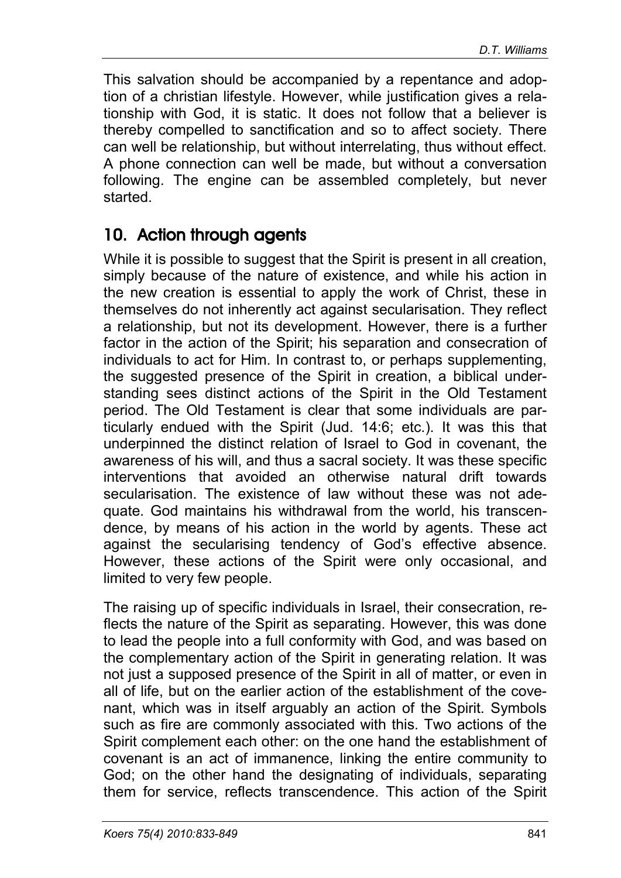This salvation should be accompanied by a repentance and adoption of a christian lifestyle. However, while justification gives a relationship with God, it is static. It does not follow that a believer is thereby compelled to sanctification and so to affect society. There can well be relationship, but without interrelating, thus without effect. A phone connection can well be made, but without a conversation following. The engine can be assembled completely, but never started.

## 10. Action through agents

While it is possible to suggest that the Spirit is present in all creation, simply because of the nature of existence, and while his action in the new creation is essential to apply the work of Christ, these in themselves do not inherently act against secularisation. They reflect a relationship, but not its development. However, there is a further factor in the action of the Spirit; his separation and consecration of individuals to act for Him. In contrast to, or perhaps supplementing, the suggested presence of the Spirit in creation, a biblical understanding sees distinct actions of the Spirit in the Old Testament period. The Old Testament is clear that some individuals are particularly endued with the Spirit (Jud. 14:6; etc.). It was this that underpinned the distinct relation of Israel to God in covenant, the awareness of his will, and thus a sacral society. It was these specific interventions that avoided an otherwise natural drift towards secularisation. The existence of law without these was not adequate. God maintains his withdrawal from the world, his transcendence, by means of his action in the world by agents. These act against the secularising tendency of God's effective absence. However, these actions of the Spirit were only occasional, and limited to very few people.

The raising up of specific individuals in Israel, their consecration, reflects the nature of the Spirit as separating. However, this was done to lead the people into a full conformity with God, and was based on the complementary action of the Spirit in generating relation. It was not just a supposed presence of the Spirit in all of matter, or even in all of life, but on the earlier action of the establishment of the covenant, which was in itself arguably an action of the Spirit. Symbols such as fire are commonly associated with this. Two actions of the Spirit complement each other: on the one hand the establishment of covenant is an act of immanence, linking the entire community to God; on the other hand the designating of individuals, separating them for service, reflects transcendence. This action of the Spirit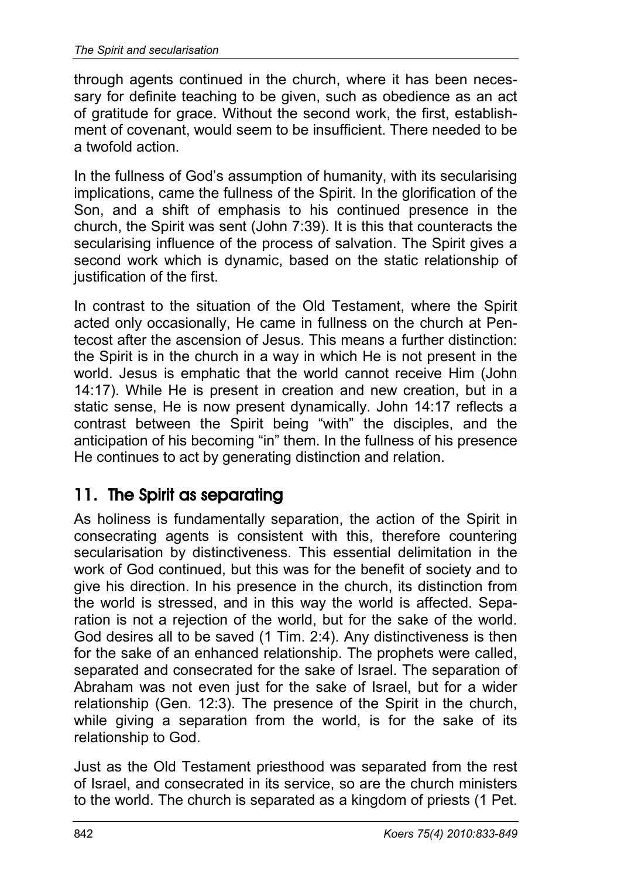through agents continued in the church, where it has been necessary for definite teaching to be given, such as obedience as an act of gratitude for grace. Without the second work, the first, establishment of covenant, would seem to be insufficient. There needed to be a twofold action.

In the fullness of God's assumption of humanity, with its secularising implications, came the fullness of the Spirit. In the glorification of the Son, and a shift of emphasis to his continued presence in the church, the Spirit was sent (John 7:39). It is this that counteracts the secularising influence of the process of salvation. The Spirit gives a second work which is dynamic, based on the static relationship of justification of the first.

In contrast to the situation of the Old Testament, where the Spirit acted only occasionally, He came in fullness on the church at Pentecost after the ascension of Jesus. This means a further distinction: the Spirit is in the church in a way in which He is not present in the world. Jesus is emphatic that the world cannot receive Him (John 14:17). While He is present in creation and new creation, but in a static sense, He is now present dynamically. John 14:17 reflects a contrast between the Spirit being "with" the disciples, and the anticipation of his becoming "in" them. In the fullness of his presence He continues to act by generating distinction and relation.

## 11. The Spirit as separating

As holiness is fundamentally separation, the action of the Spirit in consecrating agents is consistent with this, therefore countering secularisation by distinctiveness. This essential delimitation in the work of God continued, but this was for the benefit of society and to give his direction. In his presence in the church, its distinction from the world is stressed, and in this way the world is affected. Separation is not a rejection of the world, but for the sake of the world. God desires all to be saved (1 Tim. 2:4). Any distinctiveness is then for the sake of an enhanced relationship. The prophets were called, separated and consecrated for the sake of Israel. The separation of Abraham was not even just for the sake of Israel, but for a wider relationship (Gen. 12:3). The presence of the Spirit in the church, while giving a separation from the world, is for the sake of its relationship to God.

Just as the Old Testament priesthood was separated from the rest of Israel, and consecrated in its service, so are the church ministers to the world. The church is separated as a kingdom of priests (1 Pet.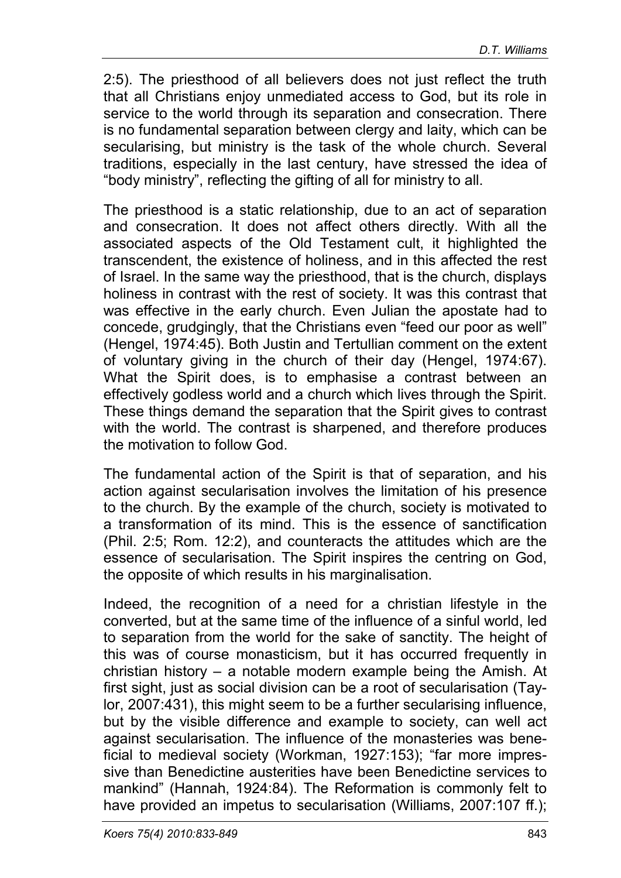2:5). The priesthood of all believers does not just reflect the truth that all Christians enjoy unmediated access to God, but its role in service to the world through its separation and consecration. There is no fundamental separation between clergy and laity, which can be secularising, but ministry is the task of the whole church. Several traditions, especially in the last century, have stressed the idea of "body ministry", reflecting the gifting of all for ministry to all.

The priesthood is a static relationship, due to an act of separation and consecration. It does not affect others directly. With all the associated aspects of the Old Testament cult, it highlighted the transcendent, the existence of holiness, and in this affected the rest of Israel. In the same way the priesthood, that is the church, displays holiness in contrast with the rest of society. It was this contrast that was effective in the early church. Even Julian the apostate had to concede, grudgingly, that the Christians even "feed our poor as well" (Hengel, 1974:45). Both Justin and Tertullian comment on the extent of voluntary giving in the church of their day (Hengel, 1974:67). What the Spirit does, is to emphasise a contrast between an effectively godless world and a church which lives through the Spirit. These things demand the separation that the Spirit gives to contrast with the world. The contrast is sharpened, and therefore produces the motivation to follow God.

The fundamental action of the Spirit is that of separation, and his action against secularisation involves the limitation of his presence to the church. By the example of the church, society is motivated to a transformation of its mind. This is the essence of sanctification (Phil. 2:5; Rom. 12:2), and counteracts the attitudes which are the essence of secularisation. The Spirit inspires the centring on God, the opposite of which results in his marginalisation.

Indeed, the recognition of a need for a christian lifestyle in the converted, but at the same time of the influence of a sinful world, led to separation from the world for the sake of sanctity. The height of this was of course monasticism, but it has occurred frequently in christian history – a notable modern example being the Amish. At first sight, just as social division can be a root of secularisation (Taylor, 2007:431), this might seem to be a further secularising influence, but by the visible difference and example to society, can well act against secularisation. The influence of the monasteries was beneficial to medieval society (Workman, 1927:153); "far more impressive than Benedictine austerities have been Benedictine services to mankind" (Hannah, 1924:84). The Reformation is commonly felt to have provided an impetus to secularisation (Williams, 2007:107 ff.);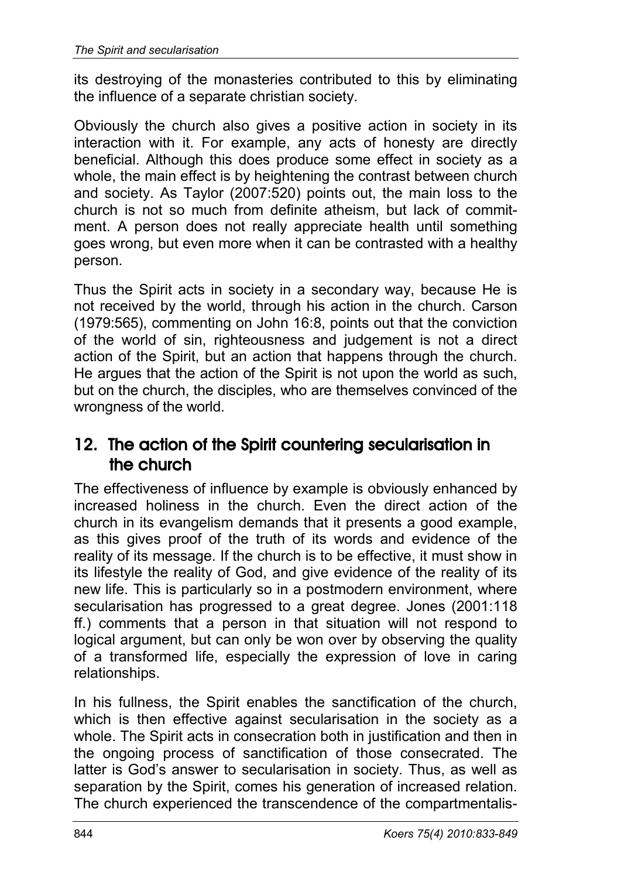its destroying of the monasteries contributed to this by eliminating the influence of a separate christian society.

Obviously the church also gives a positive action in society in its interaction with it. For example, any acts of honesty are directly beneficial. Although this does produce some effect in society as a whole, the main effect is by heightening the contrast between church and society. As Taylor (2007:520) points out, the main loss to the church is not so much from definite atheism, but lack of commitment. A person does not really appreciate health until something goes wrong, but even more when it can be contrasted with a healthy person.

Thus the Spirit acts in society in a secondary way, because He is not received by the world, through his action in the church. Carson (1979:565), commenting on John 16:8, points out that the conviction of the world of sin, righteousness and judgement is not a direct action of the Spirit, but an action that happens through the church. He argues that the action of the Spirit is not upon the world as such, but on the church, the disciples, who are themselves convinced of the wrongness of the world.

#### 12. The action of the Spirit countering secularisation in the church

The effectiveness of influence by example is obviously enhanced by increased holiness in the church. Even the direct action of the church in its evangelism demands that it presents a good example, as this gives proof of the truth of its words and evidence of the reality of its message. If the church is to be effective, it must show in its lifestyle the reality of God, and give evidence of the reality of its new life. This is particularly so in a postmodern environment, where secularisation has progressed to a great degree. Jones (2001:118 ff.) comments that a person in that situation will not respond to logical argument, but can only be won over by observing the quality of a transformed life, especially the expression of love in caring relationships.

In his fullness, the Spirit enables the sanctification of the church, which is then effective against secularisation in the society as a whole. The Spirit acts in consecration both in justification and then in the ongoing process of sanctification of those consecrated. The latter is God's answer to secularisation in society. Thus, as well as separation by the Spirit, comes his generation of increased relation. The church experienced the transcendence of the compartmentalis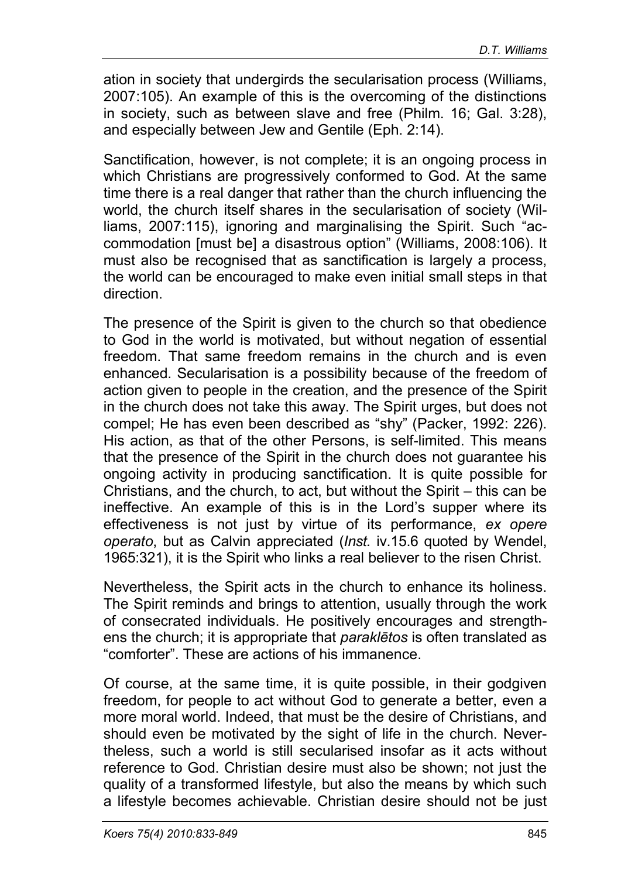ation in society that undergirds the secularisation process (Williams, 2007:105). An example of this is the overcoming of the distinctions in society, such as between slave and free (Philm. 16; Gal. 3:28), and especially between Jew and Gentile (Eph. 2:14).

Sanctification, however, is not complete; it is an ongoing process in which Christians are progressively conformed to God. At the same time there is a real danger that rather than the church influencing the world, the church itself shares in the secularisation of society (Williams, 2007:115), ignoring and marginalising the Spirit. Such "accommodation [must be] a disastrous option" (Williams, 2008:106). It must also be recognised that as sanctification is largely a process, the world can be encouraged to make even initial small steps in that direction.

The presence of the Spirit is given to the church so that obedience to God in the world is motivated, but without negation of essential freedom. That same freedom remains in the church and is even enhanced. Secularisation is a possibility because of the freedom of action given to people in the creation, and the presence of the Spirit in the church does not take this away. The Spirit urges, but does not compel; He has even been described as "shy" (Packer, 1992: 226). His action, as that of the other Persons, is self-limited. This means that the presence of the Spirit in the church does not guarantee his ongoing activity in producing sanctification. It is quite possible for Christians, and the church, to act, but without the Spirit – this can be ineffective. An example of this is in the Lord's supper where its effectiveness is not just by virtue of its performance, *ex opere operato*, but as Calvin appreciated (*Inst.* iv.15.6 quoted by Wendel, 1965:321), it is the Spirit who links a real believer to the risen Christ.

Nevertheless, the Spirit acts in the church to enhance its holiness. The Spirit reminds and brings to attention, usually through the work of consecrated individuals. He positively encourages and strengthens the church; it is appropriate that *paraklētos* is often translated as "comforter". These are actions of his immanence.

Of course, at the same time, it is quite possible, in their godgiven freedom, for people to act without God to generate a better, even a more moral world. Indeed, that must be the desire of Christians, and should even be motivated by the sight of life in the church. Nevertheless, such a world is still secularised insofar as it acts without reference to God. Christian desire must also be shown; not just the quality of a transformed lifestyle, but also the means by which such a lifestyle becomes achievable. Christian desire should not be just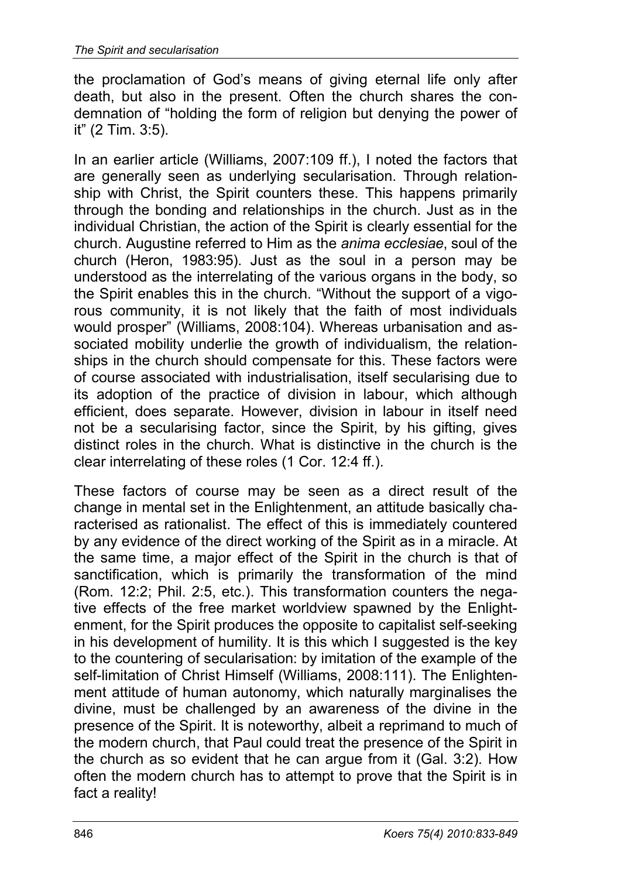the proclamation of God's means of giving eternal life only after death, but also in the present. Often the church shares the condemnation of "holding the form of religion but denying the power of it" (2 Tim. 3:5).

In an earlier article (Williams, 2007:109 ff.), I noted the factors that are generally seen as underlying secularisation. Through relationship with Christ, the Spirit counters these. This happens primarily through the bonding and relationships in the church. Just as in the individual Christian, the action of the Spirit is clearly essential for the church. Augustine referred to Him as the *anima ecclesiae*, soul of the church (Heron, 1983:95). Just as the soul in a person may be understood as the interrelating of the various organs in the body, so the Spirit enables this in the church. "Without the support of a vigorous community, it is not likely that the faith of most individuals would prosper" (Williams, 2008:104). Whereas urbanisation and associated mobility underlie the growth of individualism, the relationships in the church should compensate for this. These factors were of course associated with industrialisation, itself secularising due to its adoption of the practice of division in labour, which although efficient, does separate. However, division in labour in itself need not be a secularising factor, since the Spirit, by his gifting, gives distinct roles in the church. What is distinctive in the church is the clear interrelating of these roles (1 Cor. 12:4 ff.).

These factors of course may be seen as a direct result of the change in mental set in the Enlightenment, an attitude basically characterised as rationalist. The effect of this is immediately countered by any evidence of the direct working of the Spirit as in a miracle. At the same time, a major effect of the Spirit in the church is that of sanctification, which is primarily the transformation of the mind (Rom. 12:2; Phil. 2:5, etc.). This transformation counters the negative effects of the free market worldview spawned by the Enlightenment, for the Spirit produces the opposite to capitalist self-seeking in his development of humility. It is this which I suggested is the key to the countering of secularisation: by imitation of the example of the self-limitation of Christ Himself (Williams, 2008:111). The Enlightenment attitude of human autonomy, which naturally marginalises the divine, must be challenged by an awareness of the divine in the presence of the Spirit. It is noteworthy, albeit a reprimand to much of the modern church, that Paul could treat the presence of the Spirit in the church as so evident that he can argue from it (Gal. 3:2). How often the modern church has to attempt to prove that the Spirit is in fact a reality!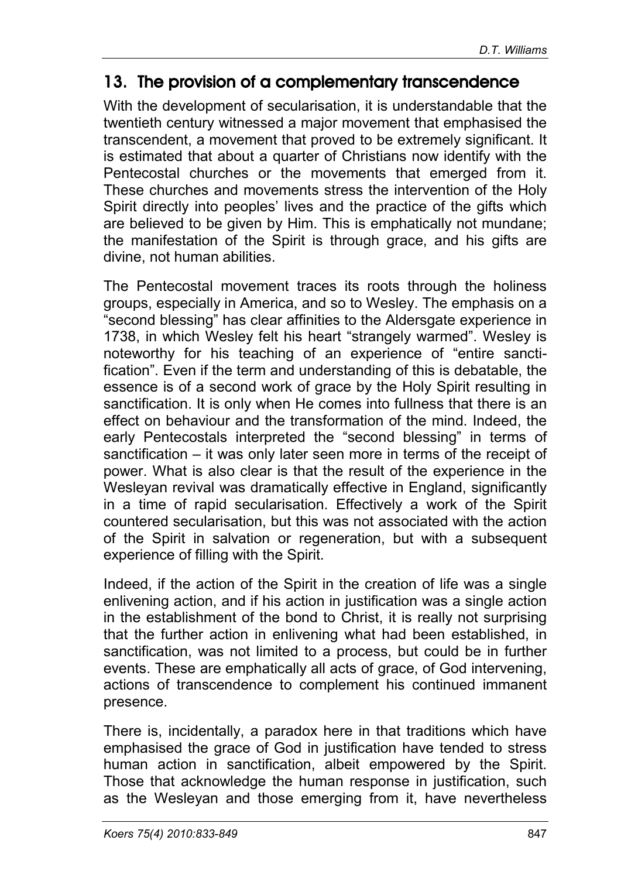#### 13. The provision of a complementary transcendence

With the development of secularisation, it is understandable that the twentieth century witnessed a major movement that emphasised the transcendent, a movement that proved to be extremely significant. It is estimated that about a quarter of Christians now identify with the Pentecostal churches or the movements that emerged from it. These churches and movements stress the intervention of the Holy Spirit directly into peoples' lives and the practice of the gifts which are believed to be given by Him. This is emphatically not mundane; the manifestation of the Spirit is through grace, and his gifts are divine, not human abilities.

The Pentecostal movement traces its roots through the holiness groups, especially in America, and so to Wesley. The emphasis on a "second blessing" has clear affinities to the Aldersgate experience in 1738, in which Wesley felt his heart "strangely warmed". Wesley is noteworthy for his teaching of an experience of "entire sanctification". Even if the term and understanding of this is debatable, the essence is of a second work of grace by the Holy Spirit resulting in sanctification. It is only when He comes into fullness that there is an effect on behaviour and the transformation of the mind. Indeed, the early Pentecostals interpreted the "second blessing" in terms of sanctification – it was only later seen more in terms of the receipt of power. What is also clear is that the result of the experience in the Wesleyan revival was dramatically effective in England, significantly in a time of rapid secularisation. Effectively a work of the Spirit countered secularisation, but this was not associated with the action of the Spirit in salvation or regeneration, but with a subsequent experience of filling with the Spirit.

Indeed, if the action of the Spirit in the creation of life was a single enlivening action, and if his action in justification was a single action in the establishment of the bond to Christ, it is really not surprising that the further action in enlivening what had been established, in sanctification, was not limited to a process, but could be in further events. These are emphatically all acts of grace, of God intervening, actions of transcendence to complement his continued immanent presence.

There is, incidentally, a paradox here in that traditions which have emphasised the grace of God in justification have tended to stress human action in sanctification, albeit empowered by the Spirit. Those that acknowledge the human response in justification, such as the Wesleyan and those emerging from it, have nevertheless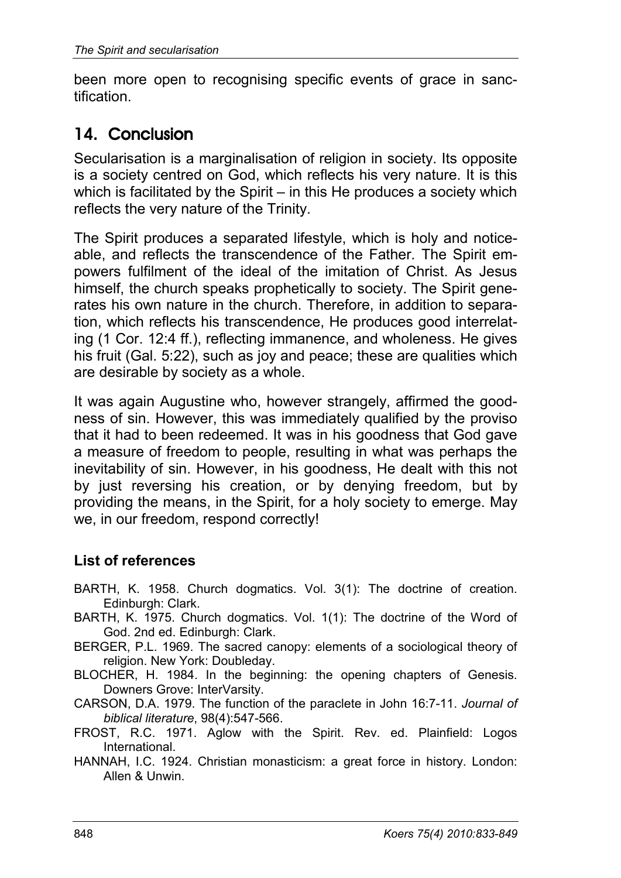been more open to recognising specific events of grace in sanctification.

## 14. Conclusion

Secularisation is a marginalisation of religion in society. Its opposite is a society centred on God, which reflects his very nature. It is this which is facilitated by the Spirit – in this He produces a society which reflects the very nature of the Trinity.

The Spirit produces a separated lifestyle, which is holy and noticeable, and reflects the transcendence of the Father. The Spirit empowers fulfilment of the ideal of the imitation of Christ. As Jesus himself, the church speaks prophetically to society. The Spirit generates his own nature in the church. Therefore, in addition to separation, which reflects his transcendence, He produces good interrelating (1 Cor. 12:4 ff.), reflecting immanence, and wholeness. He gives his fruit (Gal. 5:22), such as joy and peace; these are qualities which are desirable by society as a whole.

It was again Augustine who, however strangely, affirmed the goodness of sin. However, this was immediately qualified by the proviso that it had to been redeemed. It was in his goodness that God gave a measure of freedom to people, resulting in what was perhaps the inevitability of sin. However, in his goodness, He dealt with this not by just reversing his creation, or by denying freedom, but by providing the means, in the Spirit, for a holy society to emerge. May we, in our freedom, respond correctly!

#### **List of references**

- BARTH, K. 1958. Church dogmatics. Vol. 3(1): The doctrine of creation. Edinburgh: Clark.
- BARTH, K. 1975. Church dogmatics. Vol. 1(1): The doctrine of the Word of God. 2nd ed. Edinburgh: Clark.
- BERGER, P.L. 1969. The sacred canopy: elements of a sociological theory of religion. New York: Doubleday.
- BLOCHER, H. 1984. In the beginning: the opening chapters of Genesis. Downers Grove: InterVarsity.
- CARSON, D.A. 1979. The function of the paraclete in John 16:7-11. *Journal of biblical literature*, 98(4):547-566.
- FROST, R.C. 1971. Aglow with the Spirit. Rev. ed. Plainfield: Logos International.
- HANNAH, I.C. 1924. Christian monasticism: a great force in history. London: Allen & Unwin.